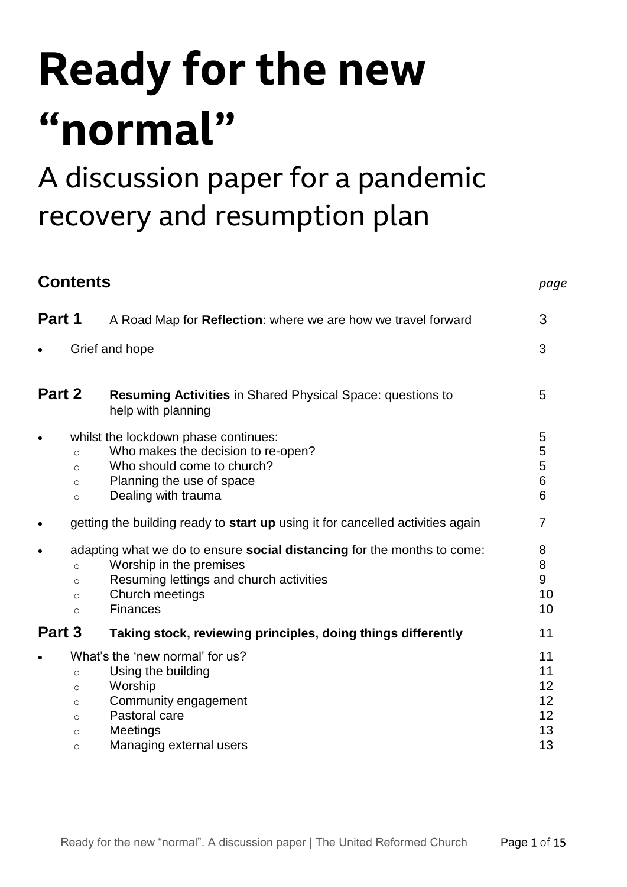# **Ready for the new "normal"**

## A discussion paper for a pandemic recovery and resumption plan

| <b>Contents</b> |                                                                |                                                                                                                                                                                     | page                                   |
|-----------------|----------------------------------------------------------------|-------------------------------------------------------------------------------------------------------------------------------------------------------------------------------------|----------------------------------------|
| Part 1          |                                                                | A Road Map for Reflection: where we are how we travel forward                                                                                                                       | 3                                      |
|                 |                                                                | Grief and hope                                                                                                                                                                      | 3                                      |
| Part 2          |                                                                | <b>Resuming Activities in Shared Physical Space: questions to</b><br>help with planning                                                                                             | 5                                      |
| $\bullet$       | $\circ$<br>$\circ$<br>$\circ$<br>$\circ$                       | whilst the lockdown phase continues:<br>Who makes the decision to re-open?<br>Who should come to church?<br>Planning the use of space<br>Dealing with trauma                        | 5<br>5<br>5<br>6<br>6                  |
|                 |                                                                | getting the building ready to start up using it for cancelled activities again                                                                                                      | $\overline{7}$                         |
| $\bullet$       | $\Omega$<br>$\circ$<br>$\circ$<br>$\circ$                      | adapting what we do to ensure social distancing for the months to come:<br>Worship in the premises<br>Resuming lettings and church activities<br>Church meetings<br><b>Finances</b> | 8<br>8<br>9<br>10<br>10                |
| Part 3          |                                                                | Taking stock, reviewing principles, doing things differently                                                                                                                        | 11                                     |
|                 | $\circ$<br>$\circ$<br>$\circ$<br>$\circ$<br>$\circ$<br>$\circ$ | What's the 'new normal' for us?<br>Using the building<br>Worship<br>Community engagement<br>Pastoral care<br>Meetings<br>Managing external users                                    | 11<br>11<br>12<br>12<br>12<br>13<br>13 |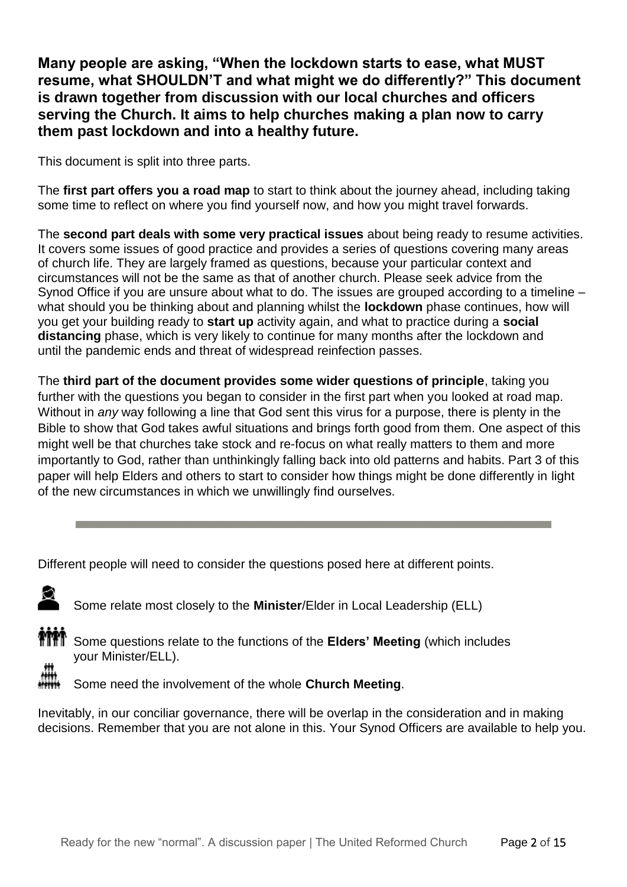**Many people are asking, "When the lockdown starts to ease, what MUST resume, what SHOULDN'T and what might we do differently?" This document is drawn together from discussion with our local churches and officers serving the Church. It aims to help churches making a plan now to carry them past lockdown and into a healthy future.**

This document is split into three parts.

The **first part offers you a road map** to start to think about the journey ahead, including taking some time to reflect on where you find yourself now, and how you might travel forwards.

The **second part deals with some very practical issues** about being ready to resume activities. It covers some issues of good practice and provides a series of questions covering many areas of church life. They are largely framed as questions, because your particular context and circumstances will not be the same as that of another church. Please seek advice from the Synod Office if you are unsure about what to do. The issues are grouped according to a timeline – what should you be thinking about and planning whilst the **lockdown** phase continues, how will you get your building ready to **start up** activity again, and what to practice during a **social distancing** phase, which is very likely to continue for many months after the lockdown and until the pandemic ends and threat of widespread reinfection passes.

The **third part of the document provides some wider questions of principle**, taking you further with the questions you began to consider in the first part when you looked at road map. Without in *any* way following a line that God sent this virus for a purpose, there is plenty in the Bible to show that God takes awful situations and brings forth good from them. One aspect of this might well be that churches take stock and re-focus on what really matters to them and more importantly to God, rather than unthinkingly falling back into old patterns and habits. Part 3 of this paper will help Elders and others to start to consider how things might be done differently in light of the new circumstances in which we unwillingly find ourselves.

Different people will need to consider the questions posed here at different points.



Some relate most closely to the **Minister**/Elder in Local Leadership (ELL)



Some questions relate to the functions of the **Elders' Meeting** (which includes your Minister/ELL).

Some need the involvement of the whole **Church Meeting**.

Inevitably, in our conciliar governance, there will be overlap in the consideration and in making decisions. Remember that you are not alone in this. Your Synod Officers are available to help you.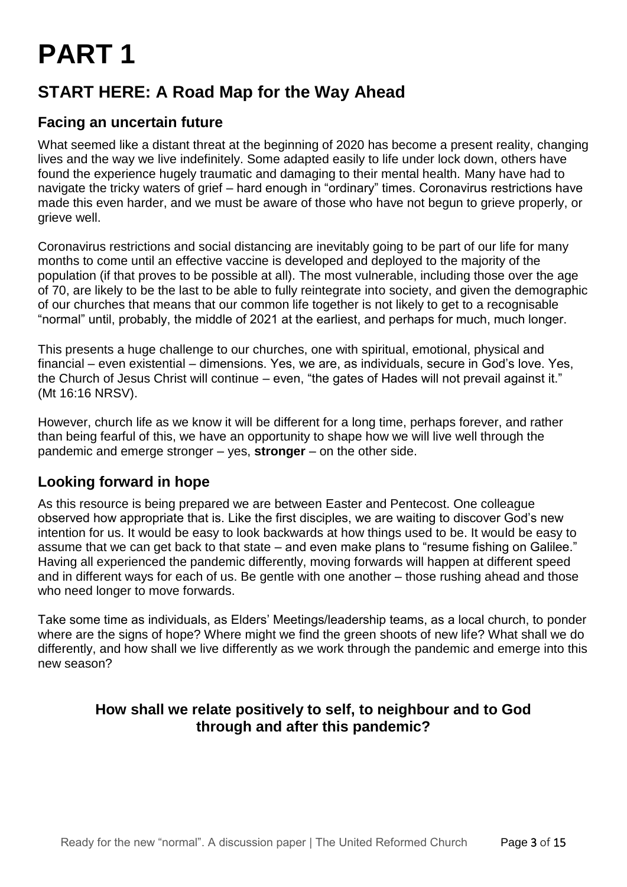## **PART 1**

### **START HERE: A Road Map for the Way Ahead**

#### **Facing an uncertain future**

What seemed like a distant threat at the beginning of 2020 has become a present reality, changing lives and the way we live indefinitely. Some adapted easily to life under lock down, others have found the experience hugely traumatic and damaging to their mental health. Many have had to navigate the tricky waters of grief – hard enough in "ordinary" times. Coronavirus restrictions have made this even harder, and we must be aware of those who have not begun to grieve properly, or grieve well.

Coronavirus restrictions and social distancing are inevitably going to be part of our life for many months to come until an effective vaccine is developed and deployed to the majority of the population (if that proves to be possible at all). The most vulnerable, including those over the age of 70, are likely to be the last to be able to fully reintegrate into society, and given the demographic of our churches that means that our common life together is not likely to get to a recognisable "normal" until, probably, the middle of 2021 at the earliest, and perhaps for much, much longer.

This presents a huge challenge to our churches, one with spiritual, emotional, physical and financial – even existential – dimensions. Yes, we are, as individuals, secure in God's love. Yes, the Church of Jesus Christ will continue – even, "the gates of Hades will not prevail against it." (Mt 16:16 NRSV).

However, church life as we know it will be different for a long time, perhaps forever, and rather than being fearful of this, we have an opportunity to shape how we will live well through the pandemic and emerge stronger – yes, **stronger** – on the other side.

#### **Looking forward in hope**

As this resource is being prepared we are between Easter and Pentecost. One colleague observed how appropriate that is. Like the first disciples, we are waiting to discover God's new intention for us. It would be easy to look backwards at how things used to be. It would be easy to assume that we can get back to that state – and even make plans to "resume fishing on Galilee." Having all experienced the pandemic differently, moving forwards will happen at different speed and in different ways for each of us. Be gentle with one another – those rushing ahead and those who need longer to move forwards.

Take some time as individuals, as Elders' Meetings/leadership teams, as a local church, to ponder where are the signs of hope? Where might we find the green shoots of new life? What shall we do differently, and how shall we live differently as we work through the pandemic and emerge into this new season?

#### **How shall we relate positively to self, to neighbour and to God through and after this pandemic?**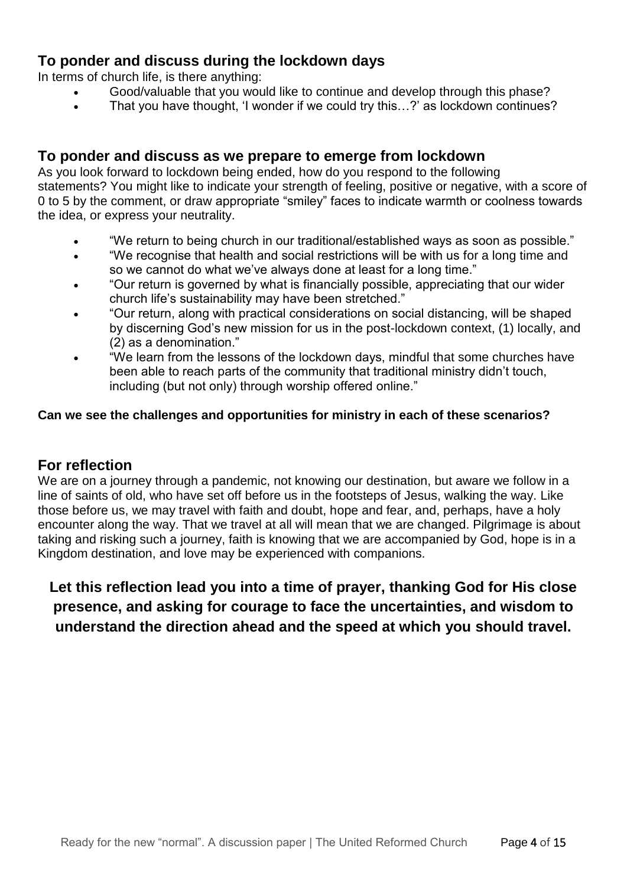#### **To ponder and discuss during the lockdown days**

In terms of church life, is there anything:

- Good/valuable that you would like to continue and develop through this phase?
- That you have thought, 'I wonder if we could try this…?' as lockdown continues?

#### **To ponder and discuss as we prepare to emerge from lockdown**

As you look forward to lockdown being ended, how do you respond to the following statements? You might like to indicate your strength of feeling, positive or negative, with a score of 0 to 5 by the comment, or draw appropriate "smiley" faces to indicate warmth or coolness towards the idea, or express your neutrality.

- "We return to being church in our traditional/established ways as soon as possible."
- "We recognise that health and social restrictions will be with us for a long time and so we cannot do what we've always done at least for a long time."
- "Our return is governed by what is financially possible, appreciating that our wider church life's sustainability may have been stretched."
- "Our return, along with practical considerations on social distancing, will be shaped by discerning God's new mission for us in the post-lockdown context, (1) locally, and (2) as a denomination."
- "We learn from the lessons of the lockdown days, mindful that some churches have been able to reach parts of the community that traditional ministry didn't touch, including (but not only) through worship offered online."

#### **Can we see the challenges and opportunities for ministry in each of these scenarios?**

#### **For reflection**

We are on a journey through a pandemic, not knowing our destination, but aware we follow in a line of saints of old, who have set off before us in the footsteps of Jesus, walking the way. Like those before us, we may travel with faith and doubt, hope and fear, and, perhaps, have a holy encounter along the way. That we travel at all will mean that we are changed. Pilgrimage is about taking and risking such a journey, faith is knowing that we are accompanied by God, hope is in a Kingdom destination, and love may be experienced with companions.

#### **Let this reflection lead you into a time of prayer, thanking God for His close presence, and asking for courage to face the uncertainties, and wisdom to understand the direction ahead and the speed at which you should travel.**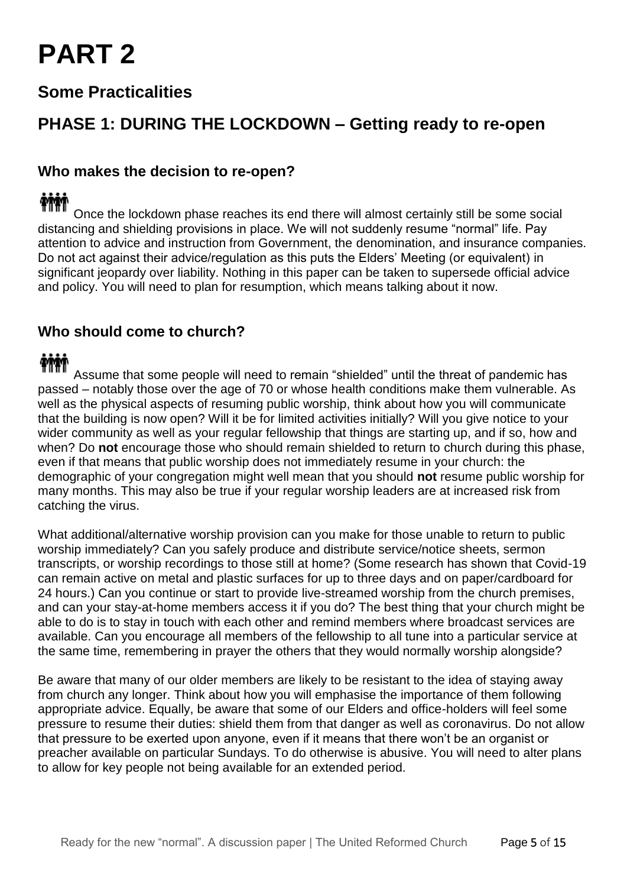## **PART 2**

#### **Some Practicalities**

#### **PHASE 1: DURING THE LOCKDOWN – Getting ready to re-open**

#### **Who makes the decision to re-open?**

### **TIME**

Once the lockdown phase reaches its end there will almost certainly still be some social distancing and shielding provisions in place. We will not suddenly resume "normal" life. Pay attention to advice and instruction from Government, the denomination, and insurance companies. Do not act against their advice/regulation as this puts the Elders' Meeting (or equivalent) in significant jeopardy over liability. Nothing in this paper can be taken to supersede official advice and policy. You will need to plan for resumption, which means talking about it now.

#### **Who should come to church?**

Assume that some people will need to remain "shielded" until the threat of pandemic has passed – notably those over the age of 70 or whose health conditions make them vulnerable. As well as the physical aspects of resuming public worship, think about how you will communicate that the building is now open? Will it be for limited activities initially? Will you give notice to your wider community as well as your regular fellowship that things are starting up, and if so, how and when? Do **not** encourage those who should remain shielded to return to church during this phase, even if that means that public worship does not immediately resume in your church: the demographic of your congregation might well mean that you should **not** resume public worship for many months. This may also be true if your regular worship leaders are at increased risk from catching the virus.

What additional/alternative worship provision can you make for those unable to return to public worship immediately? Can you safely produce and distribute service/notice sheets, sermon transcripts, or worship recordings to those still at home? (Some research has shown that Covid-19 can remain active on metal and plastic surfaces for up to three days and on paper/cardboard for 24 hours.) Can you continue or start to provide live-streamed worship from the church premises, and can your stay-at-home members access it if you do? The best thing that your church might be able to do is to stay in touch with each other and remind members where broadcast services are available. Can you encourage all members of the fellowship to all tune into a particular service at the same time, remembering in prayer the others that they would normally worship alongside?

Be aware that many of our older members are likely to be resistant to the idea of staying away from church any longer. Think about how you will emphasise the importance of them following appropriate advice. Equally, be aware that some of our Elders and office-holders will feel some pressure to resume their duties: shield them from that danger as well as coronavirus. Do not allow that pressure to be exerted upon anyone, even if it means that there won't be an organist or preacher available on particular Sundays. To do otherwise is abusive. You will need to alter plans to allow for key people not being available for an extended period.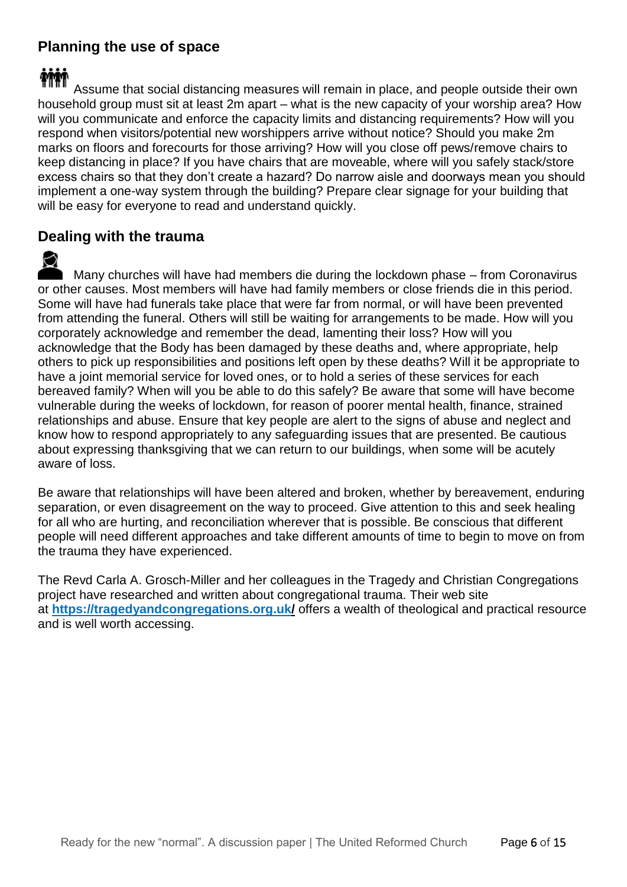#### **Planning the use of space**

### **TIM**

Assume that social distancing measures will remain in place, and people outside their own household group must sit at least 2m apart – what is the new capacity of your worship area? How will you communicate and enforce the capacity limits and distancing requirements? How will you respond when visitors/potential new worshippers arrive without notice? Should you make 2m marks on floors and forecourts for those arriving? How will you close off pews/remove chairs to keep distancing in place? If you have chairs that are moveable, where will you safely stack/store excess chairs so that they don't create a hazard? Do narrow aisle and doorways mean you should implement a one-way system through the building? Prepare clear signage for your building that will be easy for everyone to read and understand quickly.

#### **Dealing with the trauma**

Many churches will have had members die during the lockdown phase – from Coronavirus or other causes. Most members will have had family members or close friends die in this period. Some will have had funerals take place that were far from normal, or will have been prevented from attending the funeral. Others will still be waiting for arrangements to be made. How will you corporately acknowledge and remember the dead, lamenting their loss? How will you acknowledge that the Body has been damaged by these deaths and, where appropriate, help others to pick up responsibilities and positions left open by these deaths? Will it be appropriate to have a joint memorial service for loved ones, or to hold a series of these services for each bereaved family? When will you be able to do this safely? Be aware that some will have become vulnerable during the weeks of lockdown, for reason of poorer mental health, finance, strained relationships and abuse. Ensure that key people are alert to the signs of abuse and neglect and know how to respond appropriately to any safeguarding issues that are presented. Be cautious about expressing thanksgiving that we can return to our buildings, when some will be acutely aware of loss.

Be aware that relationships will have been altered and broken, whether by bereavement, enduring separation, or even disagreement on the way to proceed. Give attention to this and seek healing for all who are hurting, and reconciliation wherever that is possible. Be conscious that different people will need different approaches and take different amounts of time to begin to move on from the trauma they have experienced.

The Revd Carla A. Grosch-Miller and her colleagues in the Tragedy and Christian Congregations project have researched and written about congregational trauma. Their web site at **https://tragedyandcongregations.org.uk/** offers a wealth of theological and practical resource and is well worth accessing.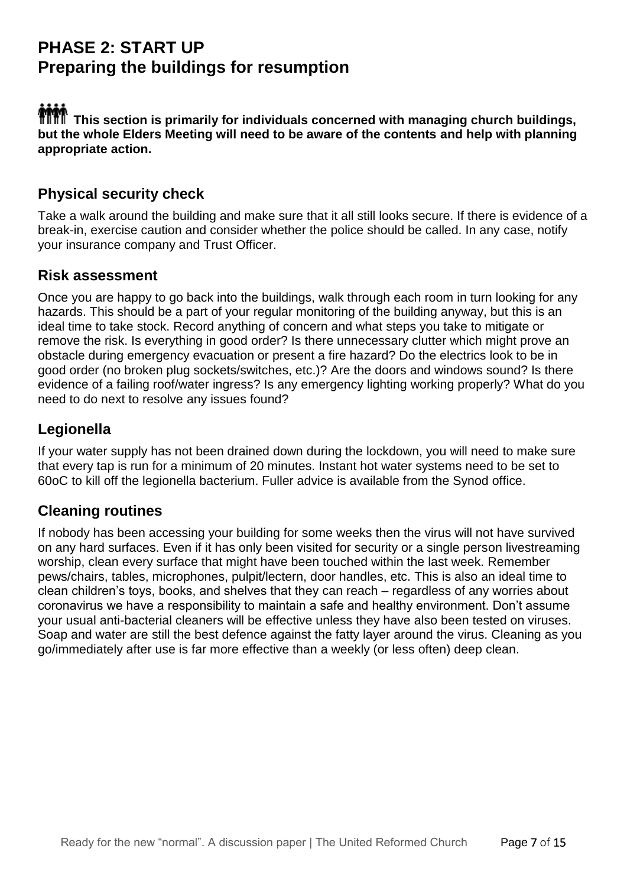#### **PHASE 2: START UP Preparing the buildings for resumption**

**Thin**<br>TILTI This section is primarily for individuals concerned with managing church buildings, **but the whole Elders Meeting will need to be aware of the contents and help with planning appropriate action.**

#### **Physical security check**

Take a walk around the building and make sure that it all still looks secure. If there is evidence of a break-in, exercise caution and consider whether the police should be called. In any case, notify your insurance company and Trust Officer.

#### **Risk assessment**

Once you are happy to go back into the buildings, walk through each room in turn looking for any hazards. This should be a part of your regular monitoring of the building anyway, but this is an ideal time to take stock. Record anything of concern and what steps you take to mitigate or remove the risk. Is everything in good order? Is there unnecessary clutter which might prove an obstacle during emergency evacuation or present a fire hazard? Do the electrics look to be in good order (no broken plug sockets/switches, etc.)? Are the doors and windows sound? Is there evidence of a failing roof/water ingress? Is any emergency lighting working properly? What do you need to do next to resolve any issues found?

#### **Legionella**

If your water supply has not been drained down during the lockdown, you will need to make sure that every tap is run for a minimum of 20 minutes. Instant hot water systems need to be set to 60oC to kill off the legionella bacterium. Fuller advice is available from the Synod office.

#### **Cleaning routines**

If nobody has been accessing your building for some weeks then the virus will not have survived on any hard surfaces. Even if it has only been visited for security or a single person livestreaming worship, clean every surface that might have been touched within the last week. Remember pews/chairs, tables, microphones, pulpit/lectern, door handles, etc. This is also an ideal time to clean children's toys, books, and shelves that they can reach – regardless of any worries about coronavirus we have a responsibility to maintain a safe and healthy environment. Don't assume your usual anti-bacterial cleaners will be effective unless they have also been tested on viruses. Soap and water are still the best defence against the fatty layer around the virus. Cleaning as you go/immediately after use is far more effective than a weekly (or less often) deep clean.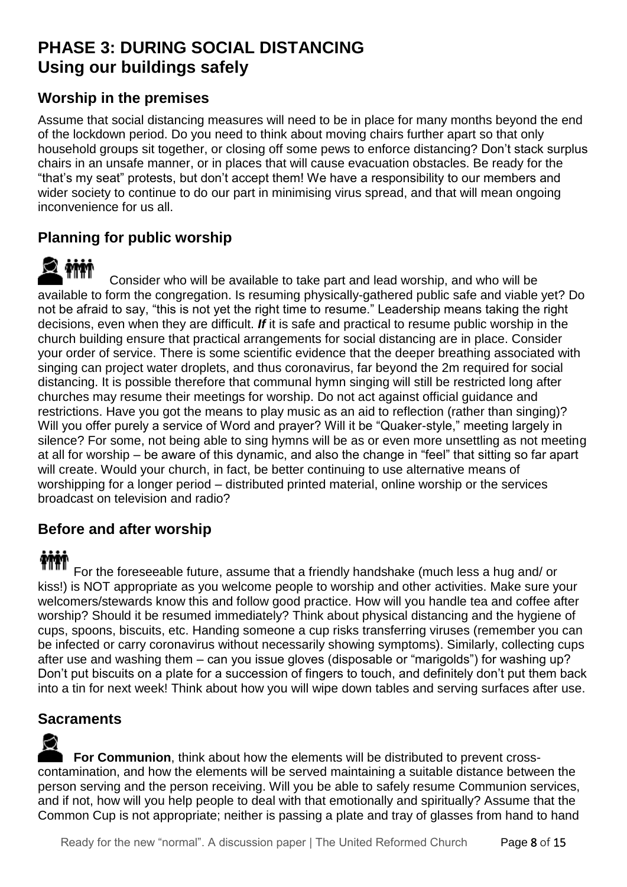#### **PHASE 3: DURING SOCIAL DISTANCING Using our buildings safely**

#### **Worship in the premises**

Assume that social distancing measures will need to be in place for many months beyond the end of the lockdown period. Do you need to think about moving chairs further apart so that only household groups sit together, or closing off some pews to enforce distancing? Don't stack surplus chairs in an unsafe manner, or in places that will cause evacuation obstacles. Be ready for the "that's my seat" protests, but don't accept them! We have a responsibility to our members and wider society to continue to do our part in minimising virus spread, and that will mean ongoing inconvenience for us all.

#### **Planning for public worship**

Consider who will be available to take part and lead worship, and who will be available to form the congregation. Is resuming physically-gathered public safe and viable yet? Do not be afraid to say, "this is not yet the right time to resume." Leadership means taking the right decisions, even when they are difficult. *If* it is safe and practical to resume public worship in the church building ensure that practical arrangements for social distancing are in place. Consider your order of service. There is some scientific evidence that the deeper breathing associated with singing can project water droplets, and thus coronavirus, far beyond the 2m required for social distancing. It is possible therefore that communal hymn singing will still be restricted long after churches may resume their meetings for worship. Do not act against official guidance and restrictions. Have you got the means to play music as an aid to reflection (rather than singing)? Will you offer purely a service of Word and prayer? Will it be "Quaker-style," meeting largely in silence? For some, not being able to sing hymns will be as or even more unsettling as not meeting at all for worship – be aware of this dynamic, and also the change in "feel" that sitting so far apart will create. Would your church, in fact, be better continuing to use alternative means of worshipping for a longer period – distributed printed material, online worship or the services broadcast on television and radio?

#### **Before and after worship**

For the foreseeable future, assume that a friendly handshake (much less a hug and/ or kiss!) is NOT appropriate as you welcome people to worship and other activities. Make sure your welcomers/stewards know this and follow good practice. How will you handle tea and coffee after worship? Should it be resumed immediately? Think about physical distancing and the hygiene of cups, spoons, biscuits, etc. Handing someone a cup risks transferring viruses (remember you can be infected or carry coronavirus without necessarily showing symptoms). Similarly, collecting cups after use and washing them – can you issue gloves (disposable or "marigolds") for washing up? Don't put biscuits on a plate for a succession of fingers to touch, and definitely don't put them back into a tin for next week! Think about how you will wipe down tables and serving surfaces after use.

#### **Sacraments**

**For Communion**, think about how the elements will be distributed to prevent crosscontamination, and how the elements will be served maintaining a suitable distance between the person serving and the person receiving. Will you be able to safely resume Communion services, and if not, how will you help people to deal with that emotionally and spiritually? Assume that the Common Cup is not appropriate; neither is passing a plate and tray of glasses from hand to hand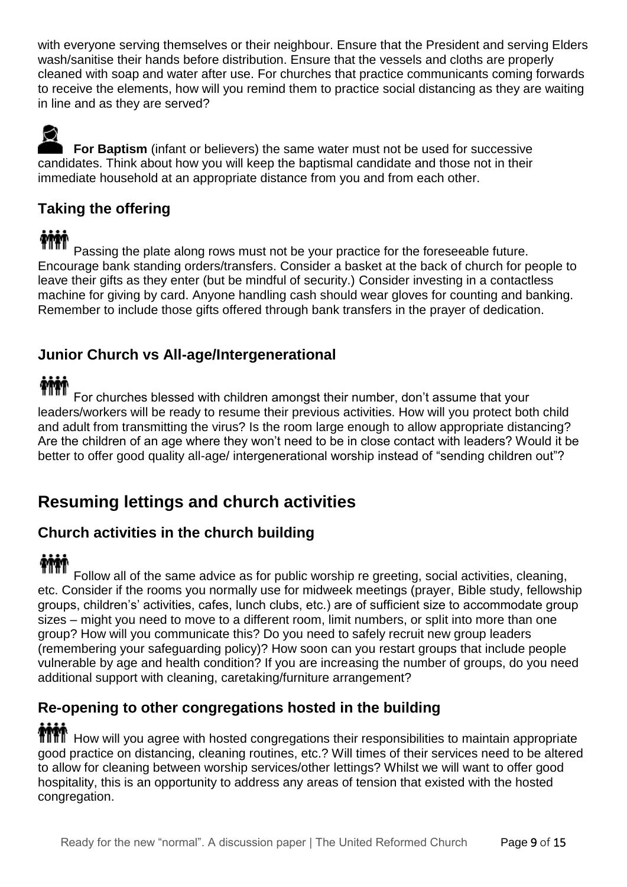with everyone serving themselves or their neighbour. Ensure that the President and serving Elders wash/sanitise their hands before distribution. Ensure that the vessels and cloths are properly cleaned with soap and water after use. For churches that practice communicants coming forwards to receive the elements, how will you remind them to practice social distancing as they are waiting in line and as they are served?

**For Baptism** (infant or believers) the same water must not be used for successive candidates. Think about how you will keep the baptismal candidate and those not in their immediate household at an appropriate distance from you and from each other.

#### **Taking the offering**

### **TIM**

Passing the plate along rows must not be your practice for the foreseeable future. Encourage bank standing orders/transfers. Consider a basket at the back of church for people to leave their gifts as they enter (but be mindful of security.) Consider investing in a contactless machine for giving by card. Anyone handling cash should wear gloves for counting and banking. Remember to include those gifts offered through bank transfers in the prayer of dedication.

#### **Junior Church vs All-age/Intergenerational**

For churches blessed with children amongst their number, don't assume that your leaders/workers will be ready to resume their previous activities. How will you protect both child and adult from transmitting the virus? Is the room large enough to allow appropriate distancing? Are the children of an age where they won't need to be in close contact with leaders? Would it be better to offer good quality all-age/ intergenerational worship instead of "sending children out"?

### **Resuming lettings and church activities**

#### **Church activities in the church building**

Follow all of the same advice as for public worship re greeting, social activities, cleaning, etc. Consider if the rooms you normally use for midweek meetings (prayer, Bible study, fellowship groups, children's' activities, cafes, lunch clubs, etc.) are of sufficient size to accommodate group sizes – might you need to move to a different room, limit numbers, or split into more than one group? How will you communicate this? Do you need to safely recruit new group leaders (remembering your safeguarding policy)? How soon can you restart groups that include people vulnerable by age and health condition? If you are increasing the number of groups, do you need additional support with cleaning, caretaking/furniture arrangement?

## **Re-opening to other congregations hosted in the building**

 $\mathbf H$  How will you agree with hosted congregations their responsibilities to maintain appropriate good practice on distancing, cleaning routines, etc.? Will times of their services need to be altered to allow for cleaning between worship services/other lettings? Whilst we will want to offer good hospitality, this is an opportunity to address any areas of tension that existed with the hosted congregation.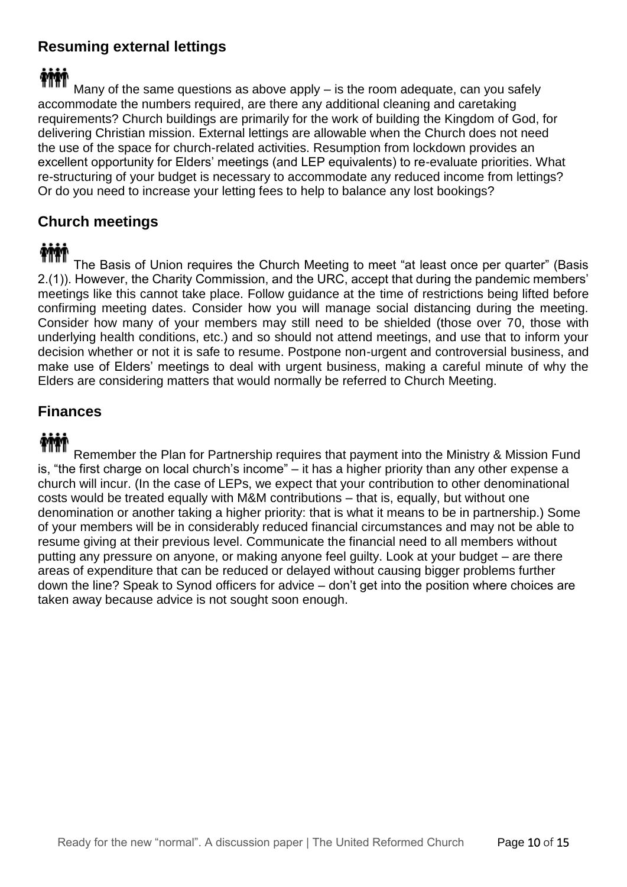#### **Resuming external lettings**

### TIM

Many of the same questions as above apply – is the room adequate, can you safely accommodate the numbers required, are there any additional cleaning and caretaking requirements? Church buildings are primarily for the work of building the Kingdom of God, for delivering Christian mission. External lettings are allowable when the Church does not need the use of the space for church-related activities. Resumption from lockdown provides an excellent opportunity for Elders' meetings (and LEP equivalents) to re-evaluate priorities. What re-structuring of your budget is necessary to accommodate any reduced income from lettings? Or do you need to increase your letting fees to help to balance any lost bookings?

#### **Church meetings**

### **THE**

The Basis of Union requires the Church Meeting to meet "at least once per quarter" (Basis 2.(1)). However, the Charity Commission, and the URC, accept that during the pandemic members' meetings like this cannot take place. Follow guidance at the time of restrictions being lifted before confirming meeting dates. Consider how you will manage social distancing during the meeting. Consider how many of your members may still need to be shielded (those over 70, those with underlying health conditions, etc.) and so should not attend meetings, and use that to inform your decision whether or not it is safe to resume. Postpone non-urgent and controversial business, and make use of Elders' meetings to deal with urgent business, making a careful minute of why the Elders are considering matters that would normally be referred to Church Meeting.

#### **Finances**

Remember the Plan for Partnership requires that payment into the Ministry & Mission Fund is, "the first charge on local church's income" – it has a higher priority than any other expense a church will incur. (In the case of LEPs, we expect that your contribution to other denominational costs would be treated equally with M&M contributions – that is, equally, but without one denomination or another taking a higher priority: that is what it means to be in partnership.) Some of your members will be in considerably reduced financial circumstances and may not be able to resume giving at their previous level. Communicate the financial need to all members without putting any pressure on anyone, or making anyone feel guilty. Look at your budget – are there areas of expenditure that can be reduced or delayed without causing bigger problems further down the line? Speak to Synod officers for advice – don't get into the position where choices are taken away because advice is not sought soon enough.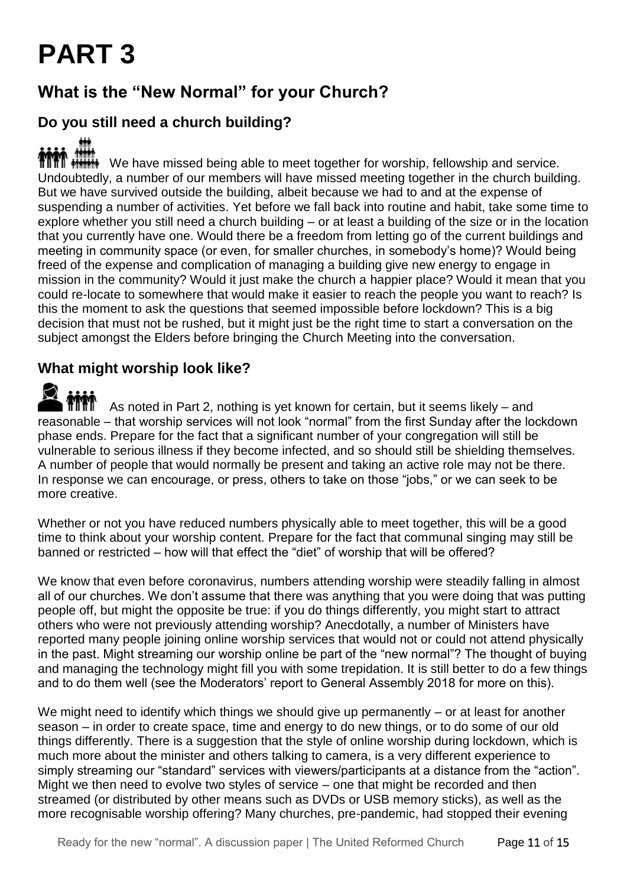## **PART 3**

### **What is the "New Normal" for your Church?**

#### **Do you still need a church building?**

**MMM INCO** INCO have missed being able to meet together for worship, fellowship and service. Undoubtedly, a number of our members will have missed meeting together in the church building. But we have survived outside the building, albeit because we had to and at the expense of suspending a number of activities. Yet before we fall back into routine and habit, take some time to explore whether you still need a church building – or at least a building of the size or in the location that you currently have one. Would there be a freedom from letting go of the current buildings and meeting in community space (or even, for smaller churches, in somebody's home)? Would being freed of the expense and complication of managing a building give new energy to engage in mission in the community? Would it just make the church a happier place? Would it mean that you could re-locate to somewhere that would make it easier to reach the people you want to reach? Is this the moment to ask the questions that seemed impossible before lockdown? This is a big decision that must not be rushed, but it might just be the right time to start a conversation on the subject amongst the Elders before bringing the Church Meeting into the conversation.

#### **What might worship look like?**

As noted in Part 2, nothing is yet known for certain, but it seems likely – and reasonable – that worship services will not look "normal" from the first Sunday after the lockdown phase ends. Prepare for the fact that a significant number of your congregation will still be vulnerable to serious illness if they become infected, and so should still be shielding themselves. A number of people that would normally be present and taking an active role may not be there. In response we can encourage, or press, others to take on those "jobs," or we can seek to be more creative.

Whether or not you have reduced numbers physically able to meet together, this will be a good time to think about your worship content. Prepare for the fact that communal singing may still be banned or restricted – how will that effect the "diet" of worship that will be offered?

We know that even before coronavirus, numbers attending worship were steadily falling in almost all of our churches. We don't assume that there was anything that you were doing that was putting people off, but might the opposite be true: if you do things differently, you might start to attract others who were not previously attending worship? Anecdotally, a number of Ministers have reported many people joining online worship services that would not or could not attend physically in the past. Might streaming our worship online be part of the "new normal"? The thought of buying and managing the technology might fill you with some trepidation. It is still better to do a few things and to do them well (see the Moderators' report to General Assembly 2018 for more on this).

We might need to identify which things we should give up permanently – or at least for another season – in order to create space, time and energy to do new things, or to do some of our old things differently. There is a suggestion that the style of online worship during lockdown, which is much more about the minister and others talking to camera, is a very different experience to simply streaming our "standard" services with viewers/participants at a distance from the "action". Might we then need to evolve two styles of service – one that might be recorded and then streamed (or distributed by other means such as DVDs or USB memory sticks), as well as the more recognisable worship offering? Many churches, pre-pandemic, had stopped their evening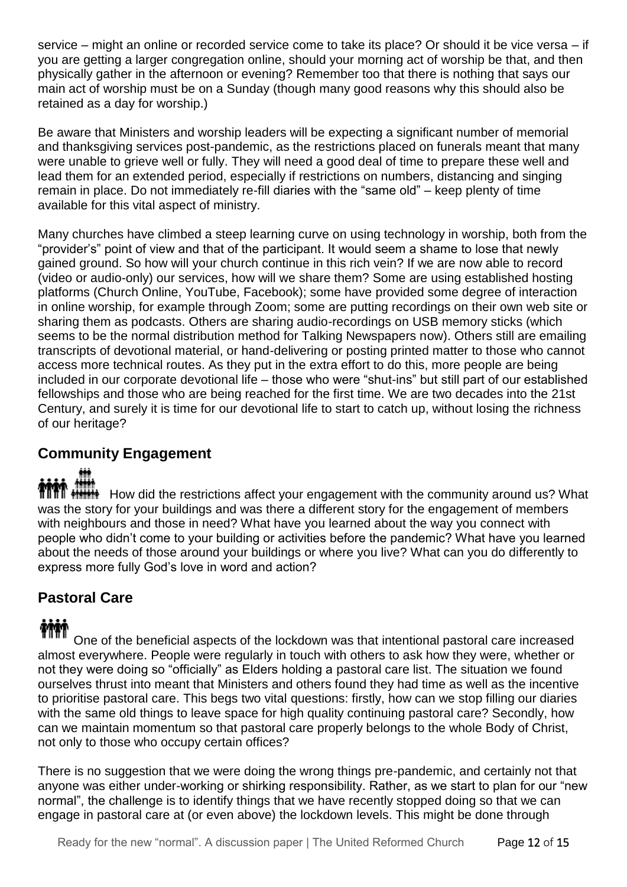service – might an online or recorded service come to take its place? Or should it be vice versa – if you are getting a larger congregation online, should your morning act of worship be that, and then physically gather in the afternoon or evening? Remember too that there is nothing that says our main act of worship must be on a Sunday (though many good reasons why this should also be retained as a day for worship.)

Be aware that Ministers and worship leaders will be expecting a significant number of memorial and thanksgiving services post-pandemic, as the restrictions placed on funerals meant that many were unable to grieve well or fully. They will need a good deal of time to prepare these well and lead them for an extended period, especially if restrictions on numbers, distancing and singing remain in place. Do not immediately re-fill diaries with the "same old" – keep plenty of time available for this vital aspect of ministry.

Many churches have climbed a steep learning curve on using technology in worship, both from the "provider's" point of view and that of the participant. It would seem a shame to lose that newly gained ground. So how will your church continue in this rich vein? If we are now able to record (video or audio-only) our services, how will we share them? Some are using established hosting platforms (Church Online, YouTube, Facebook); some have provided some degree of interaction in online worship, for example through Zoom; some are putting recordings on their own web site or sharing them as podcasts. Others are sharing audio-recordings on USB memory sticks (which seems to be the normal distribution method for Talking Newspapers now). Others still are emailing transcripts of devotional material, or hand-delivering or posting printed matter to those who cannot access more technical routes. As they put in the extra effort to do this, more people are being included in our corporate devotional life – those who were "shut-ins" but still part of our established fellowships and those who are being reached for the first time. We are two decades into the 21st Century, and surely it is time for our devotional life to start to catch up, without losing the richness of our heritage?

#### **Community Engagement**

**HOW HOW ARE THE REST FIRTM** How did the restrictions affect your engagement with the community around us? What was the story for your buildings and was there a different story for the engagement of members with neighbours and those in need? What have you learned about the way you connect with people who didn't come to your building or activities before the pandemic? What have you learned about the needs of those around your buildings or where you live? What can you do differently to express more fully God's love in word and action?

#### **Pastoral Care**

One of the beneficial aspects of the lockdown was that intentional pastoral care increased almost everywhere. People were regularly in touch with others to ask how they were, whether or not they were doing so "officially" as Elders holding a pastoral care list. The situation we found ourselves thrust into meant that Ministers and others found they had time as well as the incentive to prioritise pastoral care. This begs two vital questions: firstly, how can we stop filling our diaries with the same old things to leave space for high quality continuing pastoral care? Secondly, how can we maintain momentum so that pastoral care properly belongs to the whole Body of Christ, not only to those who occupy certain offices?

There is no suggestion that we were doing the wrong things pre-pandemic, and certainly not that anyone was either under-working or shirking responsibility. Rather, as we start to plan for our "new normal", the challenge is to identify things that we have recently stopped doing so that we can engage in pastoral care at (or even above) the lockdown levels. This might be done through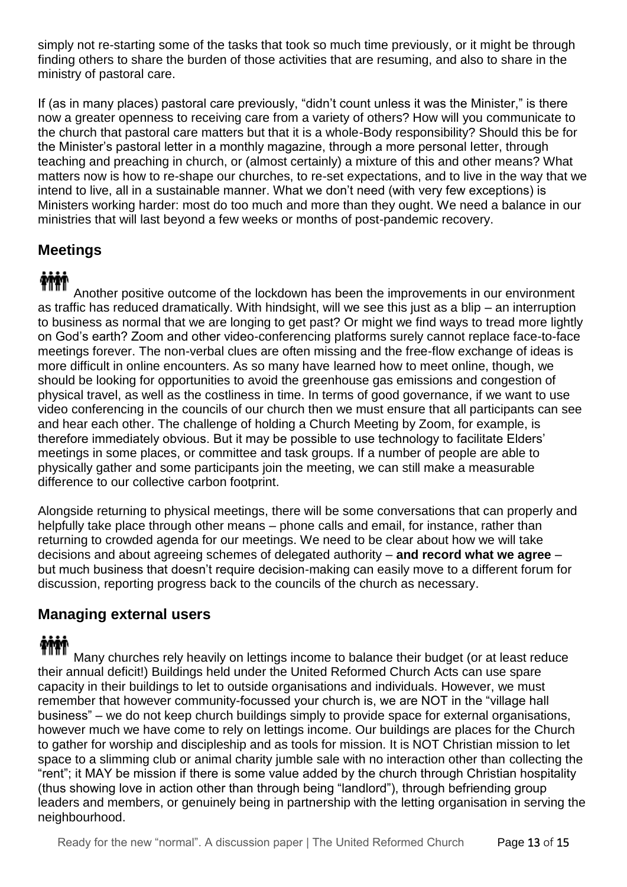simply not re-starting some of the tasks that took so much time previously, or it might be through finding others to share the burden of those activities that are resuming, and also to share in the ministry of pastoral care.

If (as in many places) pastoral care previously, "didn't count unless it was the Minister," is there now a greater openness to receiving care from a variety of others? How will you communicate to the church that pastoral care matters but that it is a whole-Body responsibility? Should this be for the Minister's pastoral letter in a monthly magazine, through a more personal letter, through teaching and preaching in church, or (almost certainly) a mixture of this and other means? What matters now is how to re-shape our churches, to re-set expectations, and to live in the way that we intend to live, all in a sustainable manner. What we don't need (with very few exceptions) is Ministers working harder: most do too much and more than they ought. We need a balance in our ministries that will last beyond a few weeks or months of post-pandemic recovery.

#### **Meetings**

Another positive outcome of the lockdown has been the improvements in our environment as traffic has reduced dramatically. With hindsight, will we see this just as a blip – an interruption to business as normal that we are longing to get past? Or might we find ways to tread more lightly on God's earth? Zoom and other video-conferencing platforms surely cannot replace face-to-face meetings forever. The non-verbal clues are often missing and the free-flow exchange of ideas is more difficult in online encounters. As so many have learned how to meet online, though, we should be looking for opportunities to avoid the greenhouse gas emissions and congestion of physical travel, as well as the costliness in time. In terms of good governance, if we want to use video conferencing in the councils of our church then we must ensure that all participants can see and hear each other. The challenge of holding a Church Meeting by Zoom, for example, is therefore immediately obvious. But it may be possible to use technology to facilitate Elders' meetings in some places, or committee and task groups. If a number of people are able to physically gather and some participants join the meeting, we can still make a measurable difference to our collective carbon footprint.

Alongside returning to physical meetings, there will be some conversations that can properly and helpfully take place through other means – phone calls and email, for instance, rather than returning to crowded agenda for our meetings. We need to be clear about how we will take decisions and about agreeing schemes of delegated authority – **and record what we agree** – but much business that doesn't require decision-making can easily move to a different forum for discussion, reporting progress back to the councils of the church as necessary.

#### **Managing external users**

### **TIME**

Many churches rely heavily on lettings income to balance their budget (or at least reduce their annual deficit!) Buildings held under the United Reformed Church Acts can use spare capacity in their buildings to let to outside organisations and individuals. However, we must remember that however community-focussed your church is, we are NOT in the "village hall business" – we do not keep church buildings simply to provide space for external organisations, however much we have come to rely on lettings income. Our buildings are places for the Church to gather for worship and discipleship and as tools for mission. It is NOT Christian mission to let space to a slimming club or animal charity jumble sale with no interaction other than collecting the "rent"; it MAY be mission if there is some value added by the church through Christian hospitality (thus showing love in action other than through being "landlord"), through befriending group leaders and members, or genuinely being in partnership with the letting organisation in serving the neighbourhood.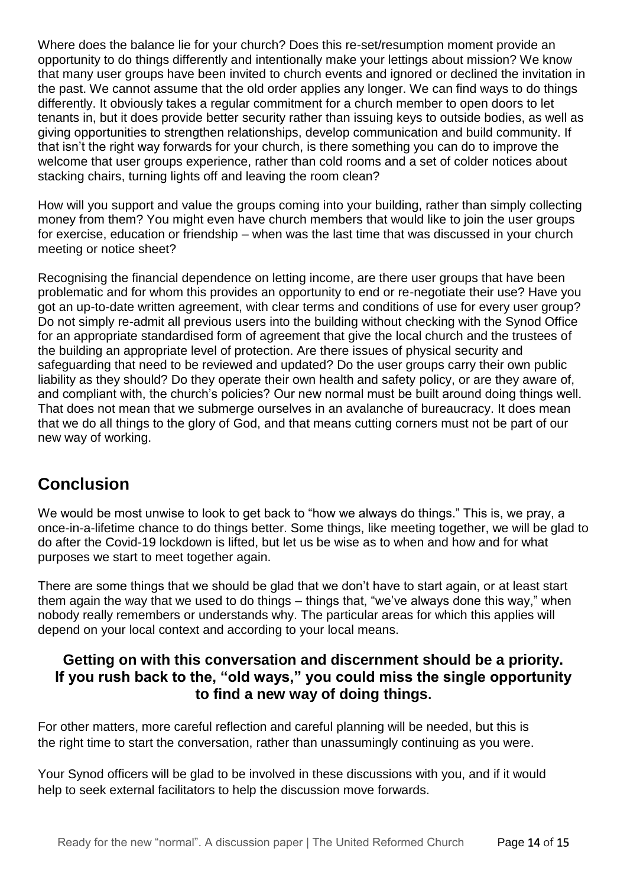Where does the balance lie for your church? Does this re-set/resumption moment provide an opportunity to do things differently and intentionally make your lettings about mission? We know that many user groups have been invited to church events and ignored or declined the invitation in the past. We cannot assume that the old order applies any longer. We can find ways to do things differently. It obviously takes a regular commitment for a church member to open doors to let tenants in, but it does provide better security rather than issuing keys to outside bodies, as well as giving opportunities to strengthen relationships, develop communication and build community. If that isn't the right way forwards for your church, is there something you can do to improve the welcome that user groups experience, rather than cold rooms and a set of colder notices about stacking chairs, turning lights off and leaving the room clean?

How will you support and value the groups coming into your building, rather than simply collecting money from them? You might even have church members that would like to join the user groups for exercise, education or friendship – when was the last time that was discussed in your church meeting or notice sheet?

Recognising the financial dependence on letting income, are there user groups that have been problematic and for whom this provides an opportunity to end or re-negotiate their use? Have you got an up-to-date written agreement, with clear terms and conditions of use for every user group? Do not simply re-admit all previous users into the building without checking with the Synod Office for an appropriate standardised form of agreement that give the local church and the trustees of the building an appropriate level of protection. Are there issues of physical security and safeguarding that need to be reviewed and updated? Do the user groups carry their own public liability as they should? Do they operate their own health and safety policy, or are they aware of, and compliant with, the church's policies? Our new normal must be built around doing things well. That does not mean that we submerge ourselves in an avalanche of bureaucracy. It does mean that we do all things to the glory of God, and that means cutting corners must not be part of our new way of working.

#### **Conclusion**

We would be most unwise to look to get back to "how we always do things." This is, we pray, a once-in-a-lifetime chance to do things better. Some things, like meeting together, we will be glad to do after the Covid-19 lockdown is lifted, but let us be wise as to when and how and for what purposes we start to meet together again.

There are some things that we should be glad that we don't have to start again, or at least start them again the way that we used to do things – things that, "we've always done this way," when nobody really remembers or understands why. The particular areas for which this applies will depend on your local context and according to your local means.

#### **Getting on with this conversation and discernment should be a priority. If you rush back to the, "old ways," you could miss the single opportunity to find a new way of doing things.**

For other matters, more careful reflection and careful planning will be needed, but this is the right time to start the conversation, rather than unassumingly continuing as you were.

Your Synod officers will be glad to be involved in these discussions with you, and if it would help to seek external facilitators to help the discussion move forwards.